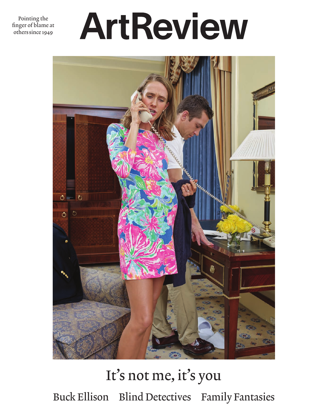Pointing the finger of blame at others since 1949

## ArtReview



## It's not me, it's you Buck Ellison Blind Detectives Family Fantasies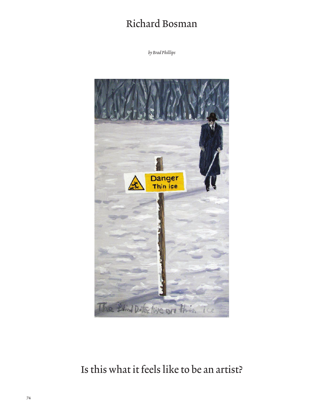## Richard Bosman

*by Brad Phillips*



## Is this what it feels like to be an artist?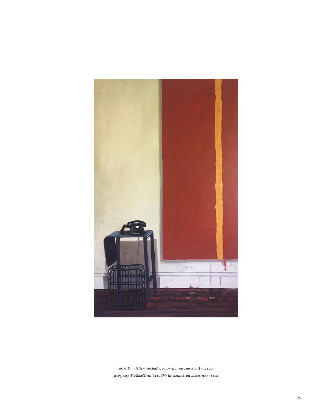

*above Barnett Newman Studio*, 2010–11, oil on canvas, 198 × 122 cm *facing page The Blind Detective on Thin Ice*, 2012, oil on canvas, 97 × 56 cm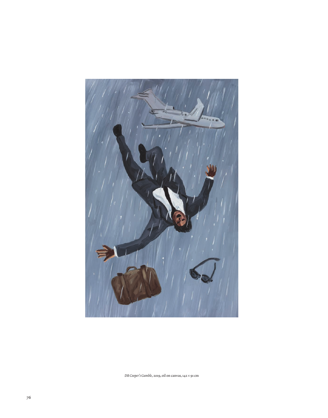

*DB Cooper's Gamble*, 2019, oil on canvas, 142 × 91 cm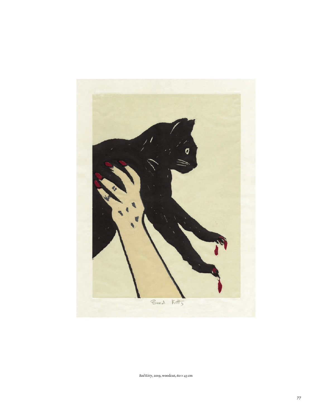

*Bad Kitty*, 2019, woodcut, 60 × 43 cm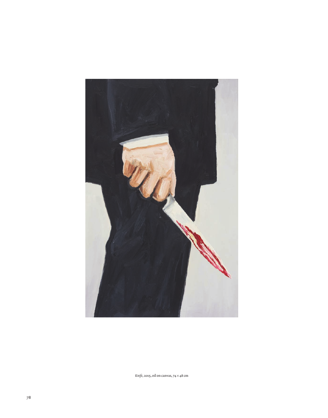

*Knife*, 2015, oil on canvas, 74 × 48 cm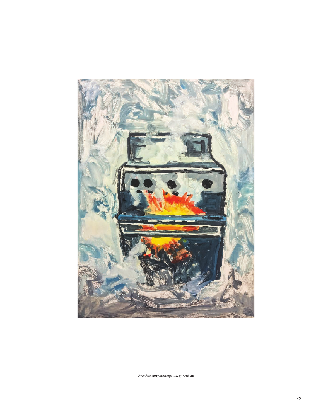

*Oven Fire*, 2017, monoprint, 47 × 36 cm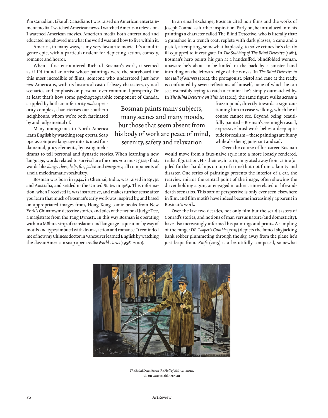I'm Canadian. Like all Canadians I was raised on American entertainment media. I watched American news. I watched American television. I watched American movies. American media both entertained and educated me, showed me what the world was and how to live within it.

America, in many ways, is my very favourite movie. It's a multigenre epic, with a particular talent for depicting action, comedy, romance and horror.

When I first encountered Richard Bosman's work, it seemed as if I'd found an artist whose paintings were the storyboard for this most incredible of films; someone who understood just how *noir* America is, with its historical cast of sleazy characters, cynical scenarios and emphasis on personal over communal prosperity. Or at least that's how some psychogeographic component of Canada,

crippled by both an inferiority *and* superiority complex, characterises our southern neighbours, whom we're both fascinated by and judgemental of.

Many immigrants to North America learn English by watching soap operas. Soap operas compress language into its most fundamental, juicy elements, by using melo-

drama to tell personal and dynastic stories. When learning a new language, words related to survival are the ones you must grasp first; words like *danger*, *love*, *help*, *fire*, *police* and *emergency*; all components of a noir, melodramatic vocabulary.

Bosman was born in 1944, in Chennai, India, was raised in Egypt and Australia, and settled in the United States in 1969. This information, when I received it, was instructive, and makes further sense after you learn that much of Bosman's early work was inspired by, and based on appropriated images from, Hong Kong comic books from New York's Chinatown: detective stories, and tales of the fictional Judge Dee, a magistrate from the Tang Dynasty. In this way Bosman is operating within a Möbius strip of translation and language acquisition by way of motifs and types imbued with drama, action and romance. It reminded me of how my Chinese doctor in Vancouver learned English by watching the classic American soap opera *As the World Turns* (1956–2010)*.*

Bosman paints many subjects, many scenes and many moods, but those that seem absent from his body of work are peace of mind, serenity, safety and relaxation

In an email exchange, Bosman cited noir films and the works of Joseph Conrad as further inspiration. Early on, he introduced into his paintings a character called The Blind Detective, who is literally that: a gumshoe in a trench coat, replete with dark glasses, a cane and a pistol, attempting, somewhat haplessly, to solve crimes he's clearly ill-equipped to investigate. In *The Stabbing of The Blind Detective* (1981), Bosman's hero points his gun at a handcuffed, blindfolded woman, unaware he's about to be knifed in the back by a sinister hand intruding on the leftward edge of the canvas. In *The Blind Detective in the Hall of Mirrors* (2012), the protagonist, pistol and cane at the ready, is confronted by seven reflections of himself, none of which he can see, ostensibly trying to catch a criminal he's simply outmatched by. In *The Blind Detective on Thin Ice* (2012), the same figure walks across a

frozen pond, directly towards a sign cautioning him to cease walking, which he of course cannot see. Beyond being beautifully painted – Bosman's seemingly casual, expressive brushwork belies a deep aptitude for realism – these paintings are funny while also being poignant and sad.

Over the course of his career Bosman

would move from a faux-naive style into a more loosely rendered, realist figuration. His themes, in turn, migrated away from crime (or piled further hardships on top of crime) but not from calamity and disaster. One series of paintings presents the interior of a car, the rearview mirror the central point of the image, often showing the driver holding a gun, or engaged in other crime-related or life-anddeath scenarios. This sort of perspective is only ever seen elsewhere in film, and film motifs have indeed become increasingly apparent in Bosman's work.

Over the last two decades, not only film but the sea disasters of Conrad's stories, and notions of man versus nature (and domesticity), have also increasingly informed his paintings and prints. A sampling of the range: *DB Cooper's Gamble* (2019) depicts the famed skyjacking bank robber plummeting through the sky, away from the plane he's just leapt from. *Knife* (2015) is a beautifully composed, somewhat



*The Blind Detective in the Hall of Mirrors*, 2012, oil on canvas,  $66 \times 97$  cm